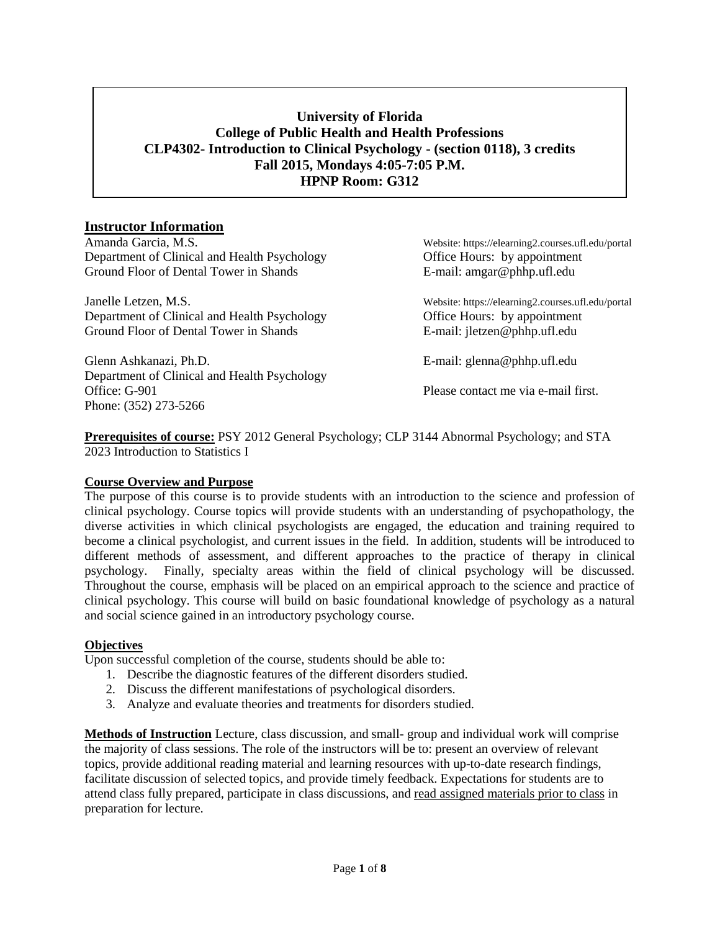# **University of Florida College of Public Health and Health Professions CLP4302- Introduction to Clinical Psychology - (section 0118), 3 credits Fall 2015, Mondays 4:05-7:05 P.M. HPNP Room: G312**

# **Instructor Information**

Amanda Garcia, M.S. Website: https://elearning2.courses.ufl.edu/portal Department of Clinical and Health Psychology Office Hours: by appointment Ground Floor of Dental Tower in Shands E-mail: amgar@phhp.ufl.edu Ground Floor of Dental Tower in Shands

Janelle Letzen, M.S. Website: https://elearning2.courses.ufl.edu/portal Department of Clinical and Health Psychology Office Hours: by appointment Ground Floor of Dental Tower in Shands E-mail: jletzen@phhp.ufl.edu

Glenn Ashkanazi, Ph.D. **E-mail: glenna@phhp.ufl.edu** Department of Clinical and Health Psychology Office: G-901 Please contact me via e-mail first. Phone: (352) 273-5266

**Prerequisites of course:** PSY 2012 General Psychology; CLP 3144 Abnormal Psychology; and STA 2023 Introduction to Statistics I

# **Course Overview and Purpose**

The purpose of this course is to provide students with an introduction to the science and profession of clinical psychology. Course topics will provide students with an understanding of psychopathology, the diverse activities in which clinical psychologists are engaged, the education and training required to become a clinical psychologist, and current issues in the field. In addition, students will be introduced to different methods of assessment, and different approaches to the practice of therapy in clinical psychology. Finally, specialty areas within the field of clinical psychology will be discussed. Throughout the course, emphasis will be placed on an empirical approach to the science and practice of clinical psychology. This course will build on basic foundational knowledge of psychology as a natural and social science gained in an introductory psychology course.

# **Objectives**

Upon successful completion of the course, students should be able to:

- 1. Describe the diagnostic features of the different disorders studied.
- 2. Discuss the different manifestations of psychological disorders.
- 3. Analyze and evaluate theories and treatments for disorders studied.

**Methods of Instruction** Lecture, class discussion, and small- group and individual work will comprise the majority of class sessions. The role of the instructors will be to: present an overview of relevant topics, provide additional reading material and learning resources with up-to-date research findings, facilitate discussion of selected topics, and provide timely feedback. Expectations for students are to attend class fully prepared, participate in class discussions, and read assigned materials prior to class in preparation for lecture.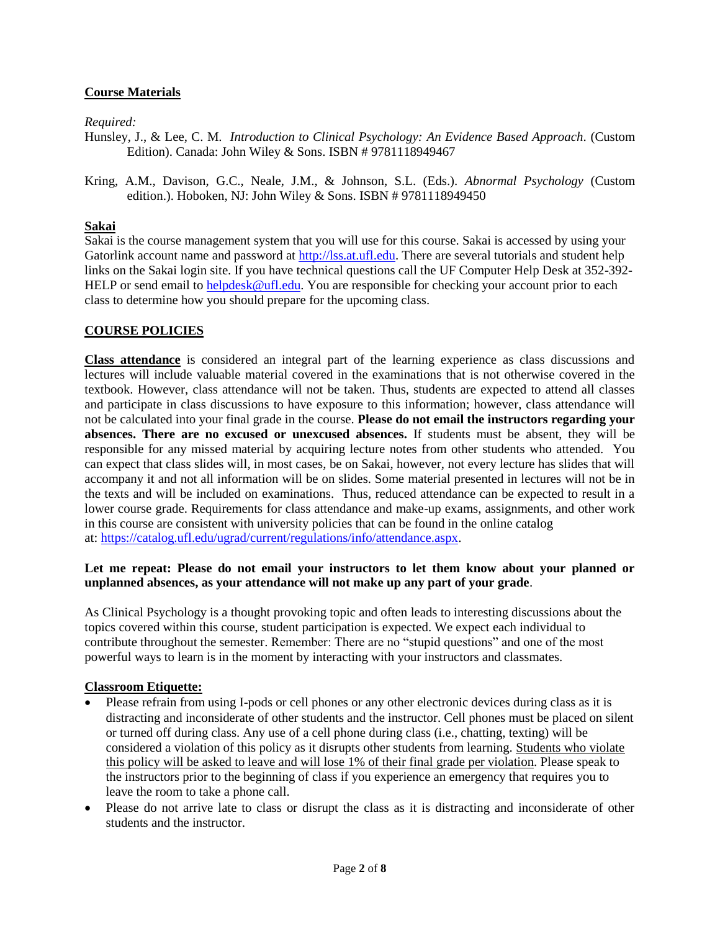# **Course Materials**

*Required:*

- Hunsley, J., & Lee, C. M. *Introduction to Clinical Psychology: An Evidence Based Approach*. (Custom Edition). Canada: John Wiley & Sons. ISBN # 9781118949467
- Kring, A.M., Davison, G.C., Neale, J.M., & Johnson, S.L. (Eds.). *Abnormal Psychology* (Custom edition.). Hoboken, NJ: John Wiley & Sons. ISBN # 9781118949450

#### **Sakai**

Sakai is the course management system that you will use for this course. Sakai is accessed by using your Gatorlink account name and password at [http://lss.at.ufl.edu.](http://lss.at.ufl.edu/) There are several tutorials and student help links on the Sakai login site. If you have technical questions call the UF Computer Help Desk at 352-392 HELP or send email to [helpdesk@ufl.edu.](mailto:helpdesk@ufl.edu) You are responsible for checking your account prior to each class to determine how you should prepare for the upcoming class.

#### **COURSE POLICIES**

**Class attendance** is considered an integral part of the learning experience as class discussions and lectures will include valuable material covered in the examinations that is not otherwise covered in the textbook. However, class attendance will not be taken. Thus, students are expected to attend all classes and participate in class discussions to have exposure to this information; however, class attendance will not be calculated into your final grade in the course. **Please do not email the instructors regarding your absences. There are no excused or unexcused absences.** If students must be absent, they will be responsible for any missed material by acquiring lecture notes from other students who attended. You can expect that class slides will, in most cases, be on Sakai, however, not every lecture has slides that will accompany it and not all information will be on slides. Some material presented in lectures will not be in the texts and will be included on examinations. Thus, reduced attendance can be expected to result in a lower course grade. Requirements for class attendance and make-up exams, assignments, and other work in this course are consistent with university policies that can be found in the online catalog at[: https://catalog.ufl.edu/ugrad/current/regulations/info/attendance.aspx.](https://catalog.ufl.edu/ugrad/current/regulations/info/attendance.aspx)

#### **Let me repeat: Please do not email your instructors to let them know about your planned or unplanned absences, as your attendance will not make up any part of your grade**.

As Clinical Psychology is a thought provoking topic and often leads to interesting discussions about the topics covered within this course, student participation is expected. We expect each individual to contribute throughout the semester. Remember: There are no "stupid questions" and one of the most powerful ways to learn is in the moment by interacting with your instructors and classmates.

#### **Classroom Etiquette:**

- Please refrain from using I-pods or cell phones or any other electronic devices during class as it is distracting and inconsiderate of other students and the instructor. Cell phones must be placed on silent or turned off during class. Any use of a cell phone during class (i.e., chatting, texting) will be considered a violation of this policy as it disrupts other students from learning. Students who violate this policy will be asked to leave and will lose 1% of their final grade per violation. Please speak to the instructors prior to the beginning of class if you experience an emergency that requires you to leave the room to take a phone call.
- Please do not arrive late to class or disrupt the class as it is distracting and inconsiderate of other students and the instructor.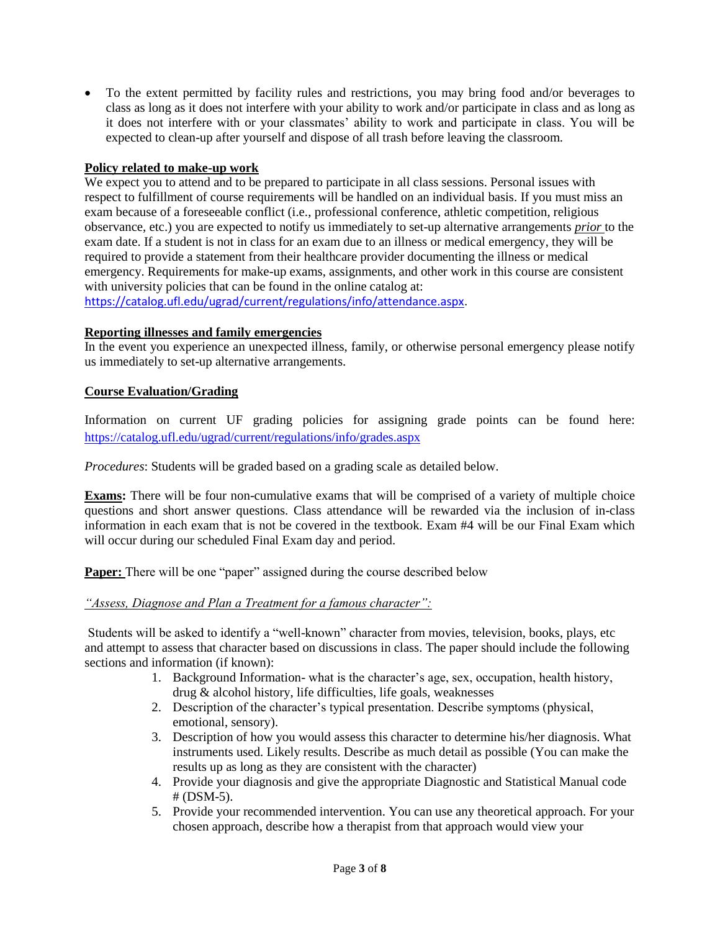To the extent permitted by facility rules and restrictions, you may bring food and/or beverages to class as long as it does not interfere with your ability to work and/or participate in class and as long as it does not interfere with or your classmates' ability to work and participate in class. You will be expected to clean-up after yourself and dispose of all trash before leaving the classroom.

# **Policy related to make-up work**

We expect you to attend and to be prepared to participate in all class sessions. Personal issues with respect to fulfillment of course requirements will be handled on an individual basis. If you must miss an exam because of a foreseeable conflict (i.e., professional conference, athletic competition, religious observance, etc.) you are expected to notify us immediately to set-up alternative arrangements *prior* to the exam date. If a student is not in class for an exam due to an illness or medical emergency, they will be required to provide a statement from their healthcare provider documenting the illness or medical emergency. Requirements for make-up exams, assignments, and other work in this course are consistent with university policies that can be found in the online catalog at:

[https://catalog.ufl.edu/ugrad/current/regulations/info/attendance.aspx.](https://catalog.ufl.edu/ugrad/current/regulations/info/attendance.aspx)

#### **Reporting illnesses and family emergencies**

In the event you experience an unexpected illness, family, or otherwise personal emergency please notify us immediately to set-up alternative arrangements.

#### **Course Evaluation/Grading**

Information on current UF grading policies for assigning grade points can be found here: <https://catalog.ufl.edu/ugrad/current/regulations/info/grades.aspx>

*Procedures*: Students will be graded based on a grading scale as detailed below.

**Exams:** There will be four non-cumulative exams that will be comprised of a variety of multiple choice questions and short answer questions. Class attendance will be rewarded via the inclusion of in-class information in each exam that is not be covered in the textbook. Exam #4 will be our Final Exam which will occur during our scheduled Final Exam day and period.

**Paper:** There will be one "paper" assigned during the course described below

#### *"Assess, Diagnose and Plan a Treatment for a famous character":*

Students will be asked to identify a "well-known" character from movies, television, books, plays, etc and attempt to assess that character based on discussions in class. The paper should include the following sections and information (if known):

- 1. Background Information- what is the character's age, sex, occupation, health history, drug & alcohol history, life difficulties, life goals, weaknesses
- 2. Description of the character's typical presentation. Describe symptoms (physical, emotional, sensory).
- 3. Description of how you would assess this character to determine his/her diagnosis. What instruments used. Likely results. Describe as much detail as possible (You can make the results up as long as they are consistent with the character)
- 4. Provide your diagnosis and give the appropriate Diagnostic and Statistical Manual code # (DSM-5).
- 5. Provide your recommended intervention. You can use any theoretical approach. For your chosen approach, describe how a therapist from that approach would view your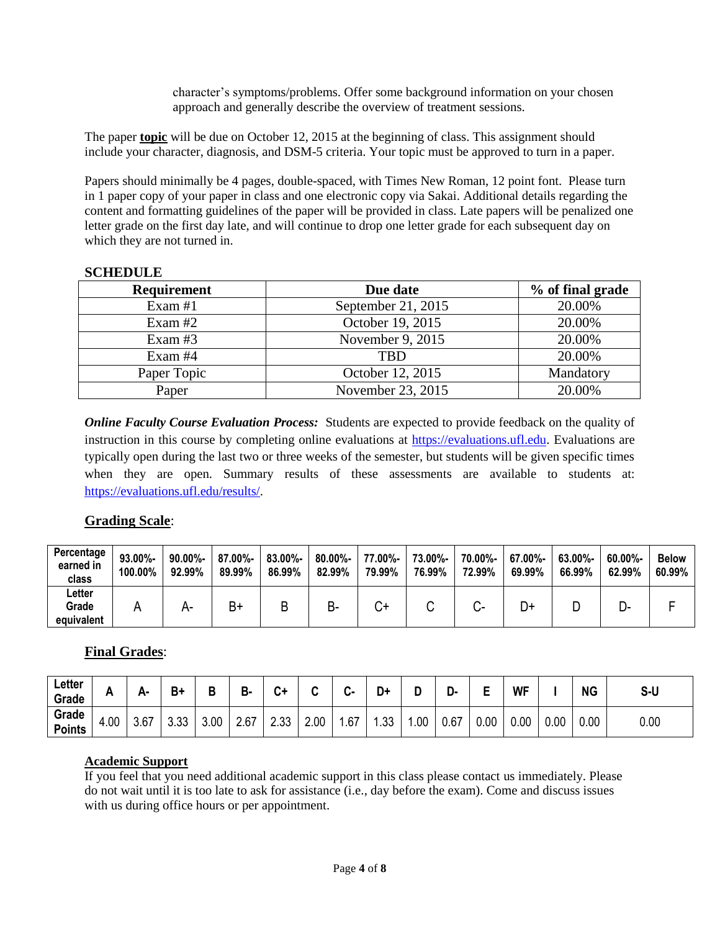character's symptoms/problems. Offer some background information on your chosen approach and generally describe the overview of treatment sessions.

The paper **topic** will be due on October 12, 2015 at the beginning of class. This assignment should include your character, diagnosis, and DSM-5 criteria. Your topic must be approved to turn in a paper.

Papers should minimally be 4 pages, double-spaced, with Times New Roman, 12 point font. Please turn in 1 paper copy of your paper in class and one electronic copy via Sakai. Additional details regarding the content and formatting guidelines of the paper will be provided in class. Late papers will be penalized one letter grade on the first day late, and will continue to drop one letter grade for each subsequent day on which they are not turned in.

#### **SCHEDULE**

| <b>Requirement</b> | Due date           | % of final grade |
|--------------------|--------------------|------------------|
| Exam $#1$          | September 21, 2015 | 20.00%           |
| Exam $#2$          | October 19, 2015   | 20.00%           |
| Exam $#3$          | November 9, 2015   | 20.00%           |
| Exam #4            | TBD                | 20.00%           |
| Paper Topic        | October 12, 2015   | Mandatory        |
| Paper              | November 23, 2015  | 20.00%           |

*Online Faculty Course Evaluation Process:* Students are expected to provide feedback on the quality of instruction in this course by completing online evaluations at [https://evaluations.ufl.edu.](https://evaluations.ufl.edu/) Evaluations are typically open during the last two or three weeks of the semester, but students will be given specific times when they are open. Summary results of these assessments are available to students at: [https://evaluations.ufl.edu/results/.](https://evaluations.ufl.edu/results/)

# **Grading Scale**:

| Percentage<br>earned in<br>class | 93.00%-<br>100.00% | $90.00\%$ -<br>92.99% | 87.00%-<br>89.99% | 83.00%-<br>86.99% | $80.00\%$ -<br>82.99% | 77.00%-<br>79.99% | 73.00%-<br>76.99% | 70.00%-<br>72.99% | 67.00%-<br>69.99% | 63.00%-<br>66.99% | 60.00%-<br>62.99% | <b>Below</b><br>60.99% |
|----------------------------------|--------------------|-----------------------|-------------------|-------------------|-----------------------|-------------------|-------------------|-------------------|-------------------|-------------------|-------------------|------------------------|
| ∟etter<br>Grade<br>equivalent    |                    | А-                    | B+                | B                 | D-                    | ∽ب                |                   | $\mathbf{u}$      | D+                |                   | -ت                |                        |

# **Final Grades**:

| Letter<br>Grade        | -<br>. . |                | Вt             | D    | В<br>D- | C۱                | ~    | $\ddot{\phantom{m}}$<br>. | D+        |     | יט   |      | <b>WF</b> |      | <b>NG</b> | S-U  |
|------------------------|----------|----------------|----------------|------|---------|-------------------|------|---------------------------|-----------|-----|------|------|-----------|------|-----------|------|
| Grade<br><b>Points</b> | 4.00     | $\sim$<br>3.6. | $\sim$<br>ບ.ບບ | 3.00 | 2.67    | <b>しょう</b><br>د.ب | 2.00 | .67                       | ററ<br>.აა | .00 | 0.67 | 0.00 | 0.00      | 0.00 | 0.00      | 0.00 |

# **Academic Support**

If you feel that you need additional academic support in this class please contact us immediately. Please do not wait until it is too late to ask for assistance (i.e., day before the exam). Come and discuss issues with us during office hours or per appointment.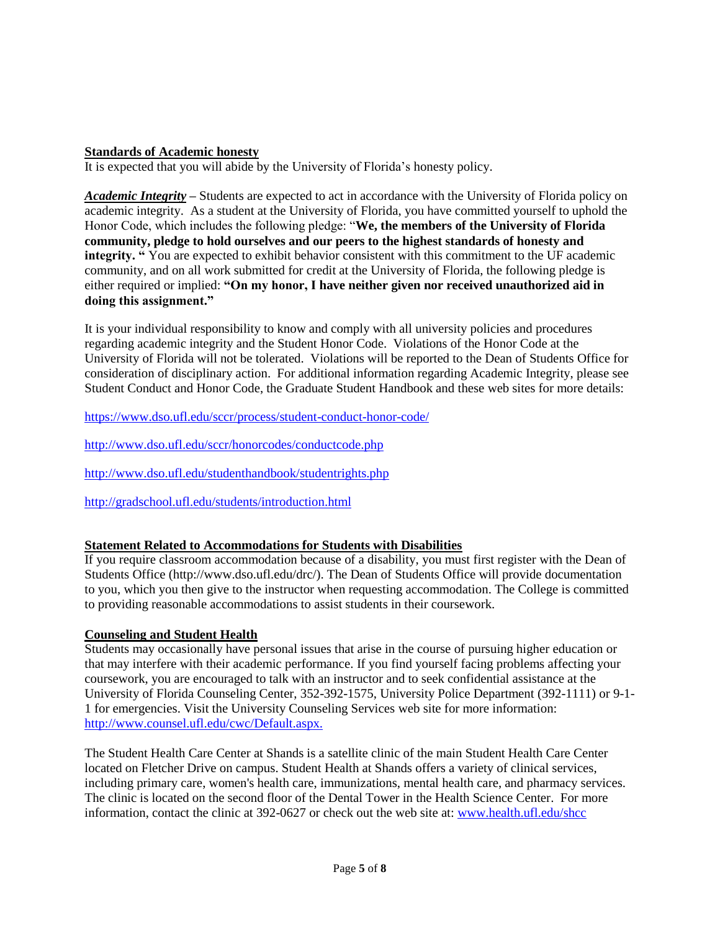# **Standards of Academic honesty**

It is expected that you will abide by the University of Florida's honesty policy.

*Academic Integrity –* Students are expected to act in accordance with the University of Florida policy on academic integrity. As a student at the University of Florida, you have committed yourself to uphold the Honor Code, which includes the following pledge: "**We, the members of the University of Florida community, pledge to hold ourselves and our peers to the highest standards of honesty and integrity. "** You are expected to exhibit behavior consistent with this commitment to the UF academic community, and on all work submitted for credit at the University of Florida, the following pledge is either required or implied: **"On my honor, I have neither given nor received unauthorized aid in doing this assignment."**

It is your individual responsibility to know and comply with all university policies and procedures regarding academic integrity and the Student Honor Code. Violations of the Honor Code at the University of Florida will not be tolerated. Violations will be reported to the Dean of Students Office for consideration of disciplinary action. For additional information regarding Academic Integrity, please see Student Conduct and Honor Code, the Graduate Student Handbook and these web sites for more details:

<https://www.dso.ufl.edu/sccr/process/student-conduct-honor-code/>

<http://www.dso.ufl.edu/sccr/honorcodes/conductcode.php>

<http://www.dso.ufl.edu/studenthandbook/studentrights.php>

<http://gradschool.ufl.edu/students/introduction.html>

#### **Statement Related to Accommodations for Students with Disabilities**

If you require classroom accommodation because of a disability, you must first register with the Dean of Students Office (http://www.dso.ufl.edu/drc/). The Dean of Students Office will provide documentation to you, which you then give to the instructor when requesting accommodation. The College is committed to providing reasonable accommodations to assist students in their coursework.

#### **Counseling and Student Health**

Students may occasionally have personal issues that arise in the course of pursuing higher education or that may interfere with their academic performance. If you find yourself facing problems affecting your coursework, you are encouraged to talk with an instructor and to seek confidential assistance at the University of Florida Counseling Center, 352-392-1575, University Police Department (392-1111) or 9-1- 1 for emergencies. Visit the University Counseling Services web site for more information: [http://www.counsel.ufl.edu/c](http://www.counsel.ufl.edu/)wc/Default.aspx.

The Student Health Care Center at Shands is a satellite clinic of the main Student Health Care Center located on Fletcher Drive on campus. Student Health at Shands offers a variety of clinical services, including primary care, women's health care, immunizations, mental health care, and pharmacy services. The clinic is located on the second floor of the Dental Tower in the Health Science Center. For more information, contact the clinic at 392-0627 or check out the web site at: [www.health.ufl.edu/shcc](http://www.health.ufl.edu/shcc)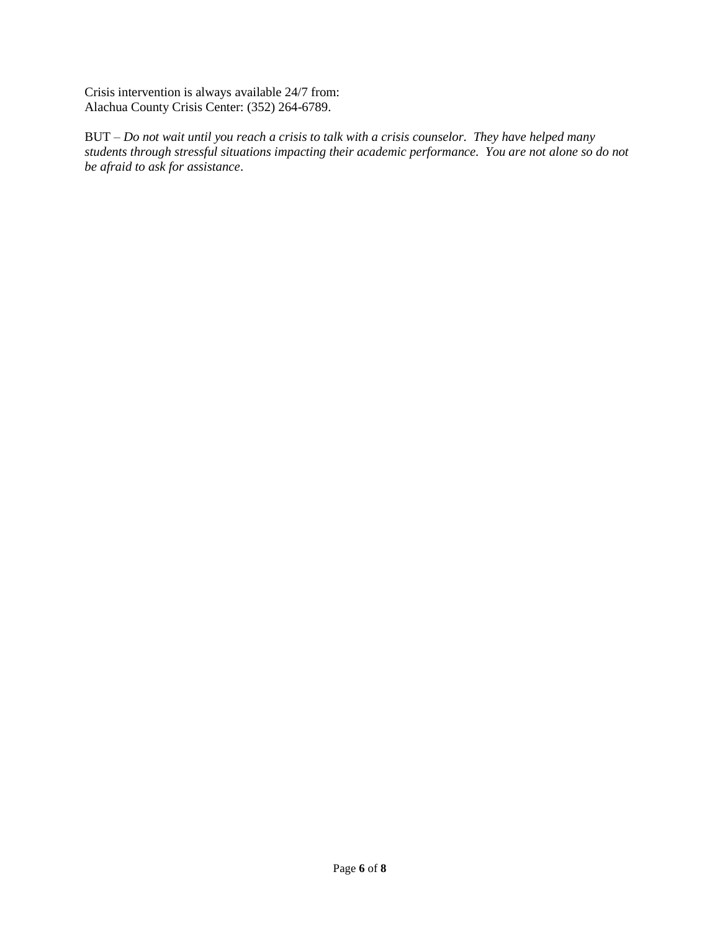Crisis intervention is always available 24/7 from: Alachua County Crisis Center: (352) 264-6789.

BUT – *Do not wait until you reach a crisis to talk with a crisis counselor. They have helped many students through stressful situations impacting their academic performance. You are not alone so do not be afraid to ask for assistance*.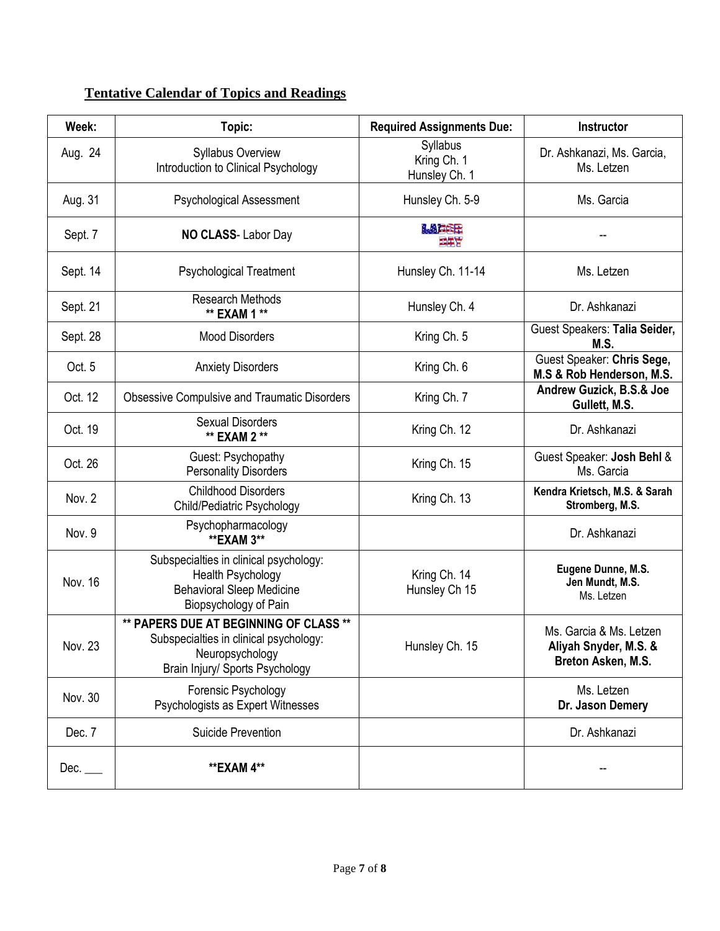# **Tentative Calendar of Topics and Readings**

| Week:       | Topic:                                                                                                                                 | <b>Required Assignments Due:</b>         | <b>Instructor</b>                                                      |
|-------------|----------------------------------------------------------------------------------------------------------------------------------------|------------------------------------------|------------------------------------------------------------------------|
| Aug. 24     | Syllabus Overview<br>Introduction to Clinical Psychology                                                                               | Syllabus<br>Kring Ch. 1<br>Hunsley Ch. 1 | Dr. Ashkanazi, Ms. Garcia,<br>Ms. Letzen                               |
| Aug. 31     | <b>Psychological Assessment</b>                                                                                                        | Hunsley Ch. 5-9                          | Ms. Garcia                                                             |
| Sept. 7     | NO CLASS-Labor Day                                                                                                                     | LAFEE<br>三年文                             |                                                                        |
| Sept. 14    | <b>Psychological Treatment</b>                                                                                                         | Hunsley Ch. 11-14                        | Ms. Letzen                                                             |
| Sept. 21    | <b>Research Methods</b><br>** EXAM 1 **                                                                                                | Hunsley Ch. 4                            | Dr. Ashkanazi                                                          |
| Sept. 28    | <b>Mood Disorders</b>                                                                                                                  | Kring Ch. 5                              | Guest Speakers: Talia Seider,<br>M.S.                                  |
| Oct. 5      | <b>Anxiety Disorders</b>                                                                                                               | Kring Ch. 6                              | Guest Speaker: Chris Sege,<br>M.S & Rob Henderson, M.S.                |
| Oct. 12     | <b>Obsessive Compulsive and Traumatic Disorders</b>                                                                                    | Kring Ch. 7                              | Andrew Guzick, B.S.& Joe<br>Gullett, M.S.                              |
| Oct. 19     | <b>Sexual Disorders</b><br>** EXAM 2 **                                                                                                | Kring Ch. 12                             | Dr. Ashkanazi                                                          |
| Oct. 26     | Guest: Psychopathy<br><b>Personality Disorders</b>                                                                                     | Kring Ch. 15                             | Guest Speaker: Josh Behl &<br>Ms. Garcia                               |
| Nov. 2      | <b>Childhood Disorders</b><br>Child/Pediatric Psychology                                                                               | Kring Ch. 13                             | Kendra Krietsch, M.S. & Sarah<br>Stromberg, M.S.                       |
| Nov. 9      | Psychopharmacology<br><b>**EXAM 3**</b>                                                                                                |                                          | Dr. Ashkanazi                                                          |
| Nov. 16     | Subspecialties in clinical psychology:<br><b>Health Psychology</b><br><b>Behavioral Sleep Medicine</b><br>Biopsychology of Pain        | Kring Ch. 14<br>Hunsley Ch 15            | Eugene Dunne, M.S.<br>Jen Mundt, M.S.<br>Ms. Letzen                    |
| Nov. 23     | ** PAPERS DUE AT BEGINNING OF CLASS **<br>Subspecialties in clinical psychology:<br>Neuropsychology<br>Brain Injury/ Sports Psychology | Hunsley Ch. 15                           | Ms. Garcia & Ms. Letzen<br>Aliyah Snyder, M.S. &<br>Breton Asken, M.S. |
| Nov. 30     | Forensic Psychology<br>Psychologists as Expert Witnesses                                                                               |                                          | Ms. Letzen<br>Dr. Jason Demery                                         |
| Dec. 7      | Suicide Prevention                                                                                                                     |                                          | Dr. Ashkanazi                                                          |
| Dec. $\_\_$ | **EXAM 4**                                                                                                                             |                                          |                                                                        |